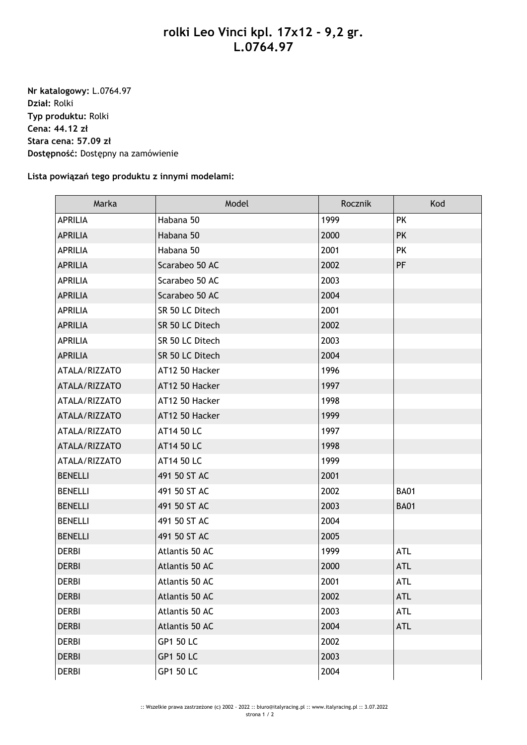## **rolki Leo Vinci kpl. 17x12 - 9,2 gr. L.0764.97**

**Nr katalogowy:** L.0764.97 **Dział:** Rolki **Typ produktu:** Rolki **Cena: 44.12 zł Stara cena: 57.09 zł Dostępność:** Dostępny na zamówienie

**Lista powiązań tego produktu z innymi modelami:**

| Marka          | Model            | Rocznik | Kod         |
|----------------|------------------|---------|-------------|
| <b>APRILIA</b> | Habana 50        | 1999    | <b>PK</b>   |
| <b>APRILIA</b> | Habana 50        | 2000    | <b>PK</b>   |
| <b>APRILIA</b> | Habana 50        | 2001    | <b>PK</b>   |
| <b>APRILIA</b> | Scarabeo 50 AC   | 2002    | <b>PF</b>   |
| <b>APRILIA</b> | Scarabeo 50 AC   | 2003    |             |
| <b>APRILIA</b> | Scarabeo 50 AC   | 2004    |             |
| <b>APRILIA</b> | SR 50 LC Ditech  | 2001    |             |
| <b>APRILIA</b> | SR 50 LC Ditech  | 2002    |             |
| <b>APRILIA</b> | SR 50 LC Ditech  | 2003    |             |
| <b>APRILIA</b> | SR 50 LC Ditech  | 2004    |             |
| ATALA/RIZZATO  | AT12 50 Hacker   | 1996    |             |
| ATALA/RIZZATO  | AT12 50 Hacker   | 1997    |             |
| ATALA/RIZZATO  | AT12 50 Hacker   | 1998    |             |
| ATALA/RIZZATO  | AT12 50 Hacker   | 1999    |             |
| ATALA/RIZZATO  | AT14 50 LC       | 1997    |             |
| ATALA/RIZZATO  | AT14 50 LC       | 1998    |             |
| ATALA/RIZZATO  | AT14 50 LC       | 1999    |             |
| <b>BENELLI</b> | 491 50 ST AC     | 2001    |             |
| <b>BENELLI</b> | 491 50 ST AC     | 2002    | <b>BA01</b> |
| <b>BENELLI</b> | 491 50 ST AC     | 2003    | <b>BA01</b> |
| <b>BENELLI</b> | 491 50 ST AC     | 2004    |             |
| <b>BENELLI</b> | 491 50 ST AC     | 2005    |             |
| <b>DERBI</b>   | Atlantis 50 AC   | 1999    | <b>ATL</b>  |
| <b>DERBI</b>   | Atlantis 50 AC   | 2000    | <b>ATL</b>  |
| <b>DERBI</b>   | Atlantis 50 AC   | 2001    | <b>ATL</b>  |
| <b>DERBI</b>   | Atlantis 50 AC   | 2002    | <b>ATL</b>  |
| <b>DERBI</b>   | Atlantis 50 AC   | 2003    | ATL         |
| <b>DERBI</b>   | Atlantis 50 AC   | 2004    | <b>ATL</b>  |
| <b>DERBI</b>   | <b>GP1 50 LC</b> | 2002    |             |
| <b>DERBI</b>   | <b>GP1 50 LC</b> | 2003    |             |
| <b>DERBI</b>   | <b>GP1 50 LC</b> | 2004    |             |